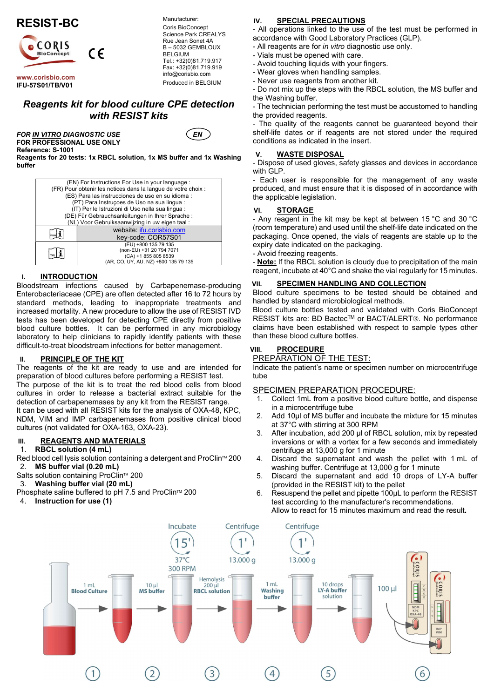

www.corisbio.com IFU-57S01/TB/V01

Manufacturer: Coris BioConcept Science Park CREALYS Rue Jean Sonet 4A B – 5032 GEMBLOUX BELGIUM Tel.: +32(0)81.719.917 Fax: +32(0)81.719.919 info@corisbio.com Produced in BELGIUM

# Reagents kit for blood culture CPE detection with RESIST kits

FOR IN VITRO DIAGNOSTIC USE  $\left($  EN FOR PROFESSIONAL USE ONLY Reference: S-1001



Reagents for 20 tests: 1x RBCL solution, 1x MS buffer and 1x Washing buffer

| (EN) For Instructions For Use in your language :              |                                                   |  |  |
|---------------------------------------------------------------|---------------------------------------------------|--|--|
| (FR) Pour obtenir les notices dans la langue de votre choix : |                                                   |  |  |
|                                                               | (ES) Para las instrucciones de uso en su idioma : |  |  |
| (PT) Para Instruções de Uso na sua lingua :                   |                                                   |  |  |
| (IT) Per le Istruzioni di Uso nella sua lingua :              |                                                   |  |  |
|                                                               | (DE) Für Gebrauchsanleitungen in Ihrer Sprache:   |  |  |
| (NL) Voor Gebruiksaanwijzing in uw eigen taal:                |                                                   |  |  |
|                                                               | website: ifu.corisbio.com                         |  |  |
|                                                               | key-code: COR57S01                                |  |  |
|                                                               | (EU) +800 135 79 135                              |  |  |
|                                                               | (non-EU) +31 20 794 7071                          |  |  |
|                                                               | (CA) +1 855 805 8539                              |  |  |
|                                                               | (AR, CO, UY, AU, NZ) +800 135 79 135              |  |  |

## I. INTRODUCTION

Bloodstream infections caused by Carbapenemase-producing Enterobacteriaceae (CPE) are often detected after 16 to 72 hours by standard methods, leading to inappropriate treatments and increased mortality. A new procedure to allow the use of RESIST IVD tests has been developed for detecting CPE directly from positive blood culture bottles. It can be performed in any microbiology laboratory to help clinicians to rapidly identify patients with these difficult-to-treat bloodstream infections for better management.

### II. PRINCIPLE OF THE KIT

The reagents of the kit are ready to use and are intended for preparation of blood cultures before performing a RESIST test. The purpose of the kit is to treat the red blood cells from blood cultures in order to release a bacterial extract suitable for the detection of carbapenemases by any kit from the RESIST range. It can be used with all RESIST kits for the analysis of OXA-48, KPC, NDM, VIM and IMP carbapenemases from positive clinical blood cultures (not validated for OXA-163, OXA-23).

### **III.** REAGENTS AND MATERIALS

#### 1. RBCL solution (4 mL)

Red blood cell lysis solution containing a detergent and ProClin™ 200 2. MS buffer vial (0.20 mL)

- Salts solution containing ProClin™ 200
- 3. Washing buffer vial (20 mL)
- Phosphate saline buffered to pH 7.5 and ProClin™ 200
- 4. Instruction for use (1)

### IV. SPECIAL PRECAUTIONS

- All operations linked to the use of the test must be performed in accordance with Good Laboratory Practices (GLP).

- All reagents are for in vitro diagnostic use only.
- Vials must be opened with care.
- Avoid touching liquids with your fingers.
- Wear gloves when handling samples.
- Never use reagents from another kit.
- Do not mix up the steps with the RBCL solution, the MS buffer and the Washing buffer.

- The technician performing the test must be accustomed to handling the provided reagents.

- The quality of the reagents cannot be guaranteed beyond their shelf-life dates or if reagents are not stored under the required conditions as indicated in the insert.

### V. WASTE DISPOSAL

- Dispose of used gloves, safety glasses and devices in accordance with GLP.

- Each user is responsible for the management of any waste produced, and must ensure that it is disposed of in accordance with the applicable legislation.

#### VI. STORAGE

- Any reagent in the kit may be kept at between 15 °C and 30 °C (room temperature) and used until the shelf-life date indicated on the packaging. Once opened, the vials of reagents are stable up to the expiry date indicated on the packaging.

- Avoid freezing reagents.

- Note: If the RBCL solution is cloudy due to precipitation of the main reagent, incubate at 40°C and shake the vial regularly for 15 minutes.

### VII. SPECIMEN HANDLING AND COLLECTION

Blood culture specimens to be tested should be obtained and handled by standard microbiological methods.

Blood culture bottles tested and validated with Coris BioConcept RESIST kits are: BD Bactec™ or BACT/ALERT®. No performance claims have been established with respect to sample types other than these blood culture bottles.

## VIII. PROCEDURE

PREPARATION OF THE TEST:

Indicate the patient's name or specimen number on microcentrifuge tube

#### SPECIMEN PREPARATION PROCEDURE:

- Collect 1mL from a positive blood culture bottle, and dispense in a microcentrifuge tube
- 2. Add 10μl of MS buffer and incubate the mixture for 15 minutes at 37°C with stirring at 300 RPM
- 3. After incubation, add 200 µl of RBCL solution, mix by repeated inversions or with a vortex for a few seconds and immediately centrifuge at 13,000 g for 1 minute
- 4. Discard the supernatant and wash the pellet with 1 mL of washing buffer. Centrifuge at 13,000 g for 1 minute
- 5. Discard the supernatant and add 10 drops of LY-A buffer (provided in the RESIST kit) to the pellet
- 6. Resuspend the pellet and pipette 100µL to perform the RESIST test according to the manufacturer's recommendations. Allow to react for 15 minutes maximum and read the result.